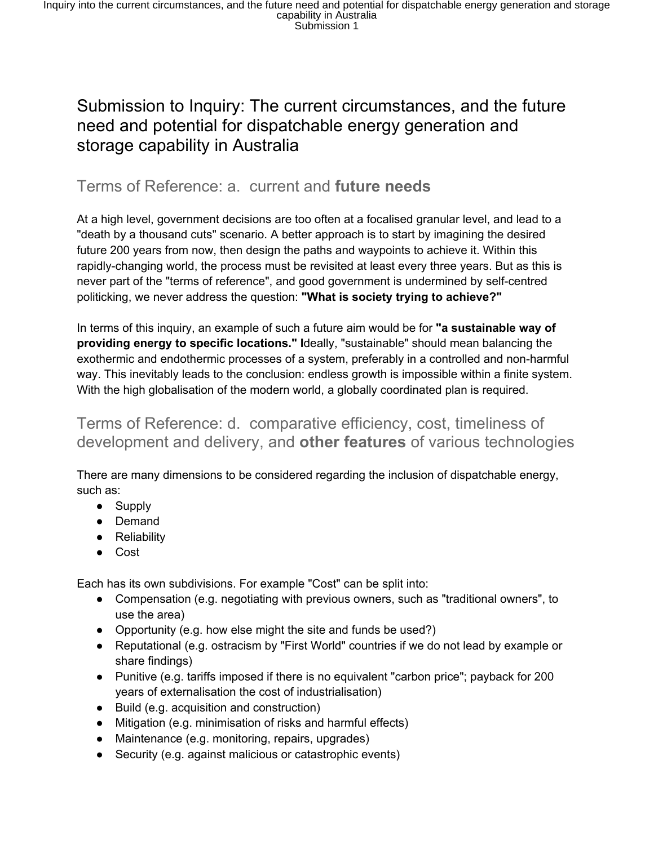## Submission to Inquiry: The current circumstances, and the future need and potential for dispatchable energy generation and storage capability in Australia

## Terms of Reference: a. current and **future needs**

At a high level, government decisions are too often at a focalised granular level, and lead to a "death by a thousand cuts" scenario. A better approach is to start by imagining the desired future 200 years from now, then design the paths and waypoints to achieve it. Within this rapidly-changing world, the process must be revisited at least every three years. But as this is never part of the "terms of reference", and good government is undermined by self-centred politicking, we never address the question: **"What is society trying to achieve?"**

In terms of this inquiry, an example of such a future aim would be for **"a sustainable way of providing energy to specific locations." I**deally, "sustainable" should mean balancing the exothermic and endothermic processes of a system, preferably in a controlled and non-harmful way. This inevitably leads to the conclusion: endless growth is impossible within a finite system. With the high globalisation of the modern world, a globally coordinated plan is required.

Terms of Reference: d. comparative efficiency, cost, timeliness of development and delivery, and **other features** of various technologies

There are many dimensions to be considered regarding the inclusion of dispatchable energy, such as:

- Supply
- Demand
- Reliability
- Cost

Each has its own subdivisions. For example "Cost" can be split into:

- Compensation (e.g. negotiating with previous owners, such as "traditional owners", to use the area)
- Opportunity (e.g. how else might the site and funds be used?)
- Reputational (e.g. ostracism by "First World" countries if we do not lead by example or share findings)
- Punitive (e.g. tariffs imposed if there is no equivalent "carbon price"; payback for 200 years of externalisation the cost of industrialisation)
- Build (e.g. acquisition and construction)
- Mitigation (e.g. minimisation of risks and harmful effects)
- Maintenance (e.g. monitoring, repairs, upgrades)
- Security (e.g. against malicious or catastrophic events)